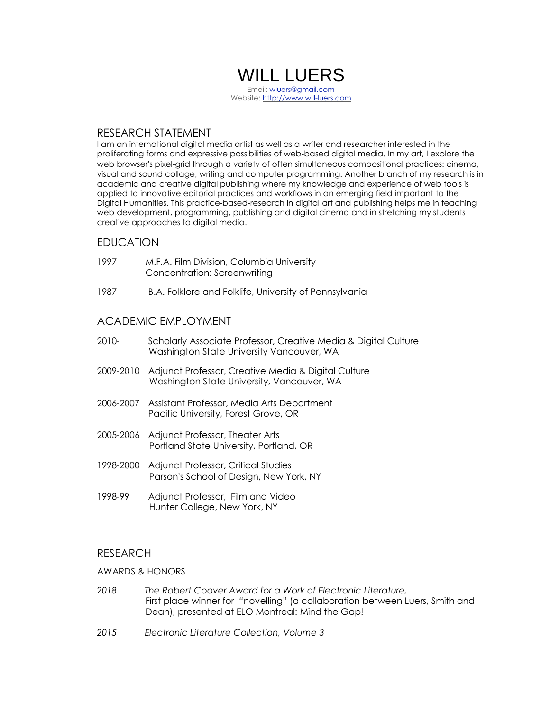# WILL LUERS

Email: [wluers@gmail.com](mailto:wluers@gmail.com) Website: [http://www.will-luers.com](http://www.will-luers.com/)

# RESEARCH STATEMENT

I am an international digital media artist as well as a writer and researcher interested in the proliferating forms and expressive possibilities of web-based digital media. In my art, I explore the web browser's pixel-grid through a variety of often simultaneous compositional practices: cinema, visual and sound collage, writing and computer programming. Another branch of my research is in academic and creative digital publishing where my knowledge and experience of web tools is applied to innovative editorial practices and workflows in an emerging field important to the Digital Humanities. This practice-based-research in digital art and publishing helps me in teaching web development, programming, publishing and digital cinema and in stretching my students creative approaches to digital media.

# EDUCATION

- 1997 M.F.A. Film Division, Columbia University Concentration: Screenwriting
- 1987 B.A. Folklore and Folklife, University of Pennsylvania

# ACADEMIC EMPLOYMENT

- 2010- Scholarly Associate Professor, Creative Media & Digital Culture Washington State University Vancouver, WA
- 2009-2010 Adjunct Professor, Creative Media & Digital Culture Washington State University, Vancouver, WA
- 2006-2007 Assistant Professor, Media Arts Department Pacific University, Forest Grove, OR
- 2005-2006 Adjunct Professor, Theater Arts Portland State University, Portland, OR
- 1998-2000 Adjunct Professor, Critical Studies Parson's School of Design, New York, NY
- 1998-99 Adjunct Professor, Film and Video Hunter College, New York, NY

# RESEARCH

# AWARDS & HONORS

- *2018 The Robert Coover Award for a Work of Electronic Literature,* First place winner for *"*novelling" (a collaboration between Luers, Smith and Dean), presented at ELO Montreal: Mind the Gap!
- *2015 Electronic Literature Collection, Volume 3*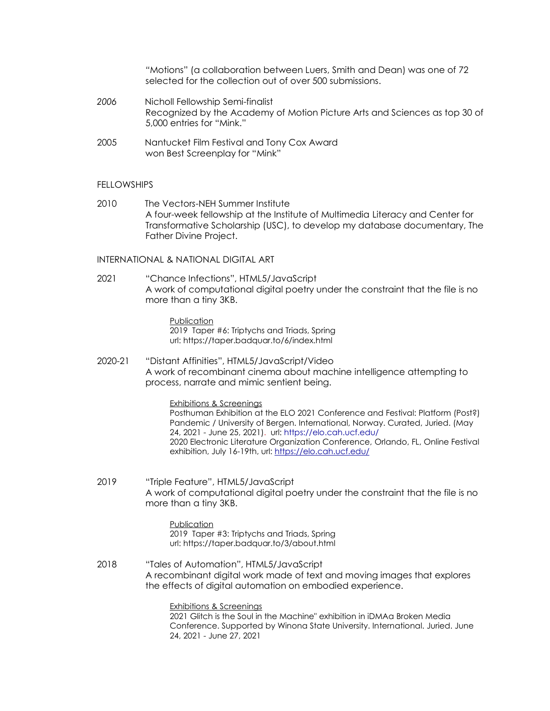*"*Motions" (a collaboration between Luers, Smith and Dean) was one of 72 selected for the collection out of over 500 submissions.

- *2006* Nicholl Fellowship Semi-finalist Recognized by the Academy of Motion Picture Arts and Sciences as top 30 of 5,000 entries for "Mink."
- 2005Nantucket Film Festival and Tony Cox Award won Best Screenplay for "Mink"

# FELLOWSHIPS

2010 The Vector*s*-NEH Summer Institute A four-week fellowship at the Institute of Multimedia Literacy and Center for Transformative Scholarship (USC), to develop my database documentary, The Father Divine Project.

# INTERNATIONAL & NATIONAL DIGITAL ART

2021 "Chance Infections", HTML5/JavaScript A work of computational digital poetry under the constraint that the file is no more than a tiny 3KB.

> Publication 2019 Taper #6: Triptychs and Triads, Spring url: https://taper.badquar.to/6/index.html

2020-21 "Distant Affinities", HTML5/JavaScript/Video A work of recombinant cinema about machine intelligence attempting to process, narrate and mimic sentient being.

Exhibitions & Screenings

Posthuman Exhibition at the ELO 2021 Conference and Festival: Platform (Post?) Pandemic / University of Bergen. International, Norway. Curated, Juried. (May 24, 2021 - June 25, 2021). url: <https://elo.cah.ucf.edu/> 2020 Electronic Literature Organization Conference, Orlando, FL, Online Festival exhibition, July 16-19th, url: <https://elo.cah.ucf.edu/>

2019 "Triple Feature", HTML5/JavaScript A work of computational digital poetry under the constraint that the file is no more than a tiny 3KB.

> Publication 2019 Taper #3: Triptychs and Triads, Spring url: https://taper.badquar.to/3/about.html

2018 "Tales of Automation", HTML5/JavaScript A recombinant digital work made of text and moving images that explores the effects of digital automation on embodied experience.

Exhibitions & Screenings

2021 Glitch is the Soul in the Machine" exhibition in iDMAa Broken Media Conference. Supported by Winona State University. International. Juried. June 24, 2021 - June 27, 2021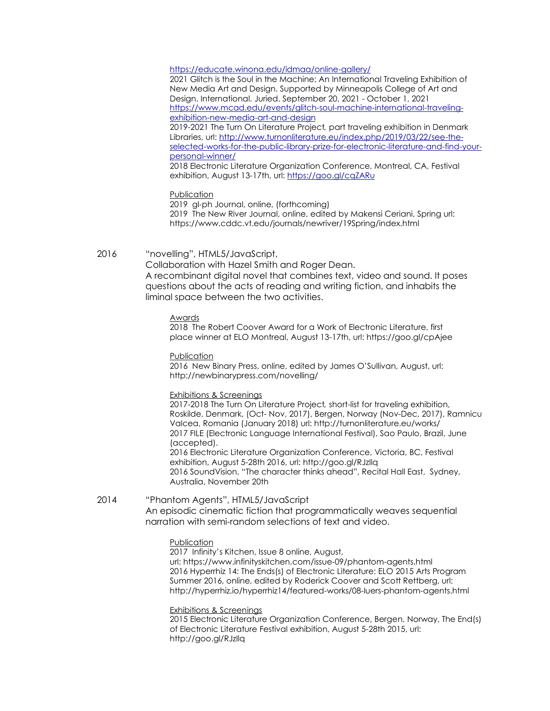#### <https://educate.winona.edu/idmaa/online-gallery/>

2021 Glitch is the Soul in the Machine: An International Traveling Exhibition of New Media Art and Design. Supported by Minneapolis College of Art and Design. International. Juried. September 20, 2021 - October 1, 2021 [https://www.mcad.edu/events/glitch-soul-machine-international-traveling](https://www.mcad.edu/events/glitch-soul-machine-international-traveling-exhibition-new-media-art-and-design)[exhibition-new-media-art-and-design](https://www.mcad.edu/events/glitch-soul-machine-international-traveling-exhibition-new-media-art-and-design)

2019-2021 The Turn On Literature Project*,* part traveling exhibition in Denmark Libraries, url: [http://www.turnonliterature.eu/index.php/2019/03/22/see-the](http://www.turnonliterature.eu/index.php/2019/03/22/see-the-selected-works-for-the-public-library-prize-for-electronic-literature-and-find-your-personal-winner/)[selected-works-for-the-public-library-prize-for-electronic-literature-and-find-your](http://www.turnonliterature.eu/index.php/2019/03/22/see-the-selected-works-for-the-public-library-prize-for-electronic-literature-and-find-your-personal-winner/)[personal-winner/](http://www.turnonliterature.eu/index.php/2019/03/22/see-the-selected-works-for-the-public-library-prize-for-electronic-literature-and-find-your-personal-winner/)

2018 Electronic Literature Organization Conference, Montreal, CA, Festival exhibition, August 13-17th, url: <https://goo.gl/cqZARu>

#### Publication

2019 gl-ph Journal, online, (forthcoming) 2019 The New River Journal, online, edited by Makensi Ceriani, Spring url: https://www.cddc.vt.edu/journals/newriver/19Spring/index.html

# 2016 "novelling", HTML5/JavaScript,

Collaboration with Hazel Smith and Roger Dean. A recombinant digital novel that combines text, video and sound. It poses questions about the acts of reading and writing fiction, and inhabits the liminal space between the two activities.

#### Awards

2018 The Robert Coover Award for a Work of Electronic Literature, first place winner at ELO Montreal, August 13-17th, url: https://goo.gl/cpAjee

Publication

2016 New Binary Press, online, edited by James O'Sullivan, August, url: http://newbinarypress.com/novelling/

#### Exhibitions & Screenings

2017-2018 The Turn On Literature Project*,* short-list for traveling exhibition, Roskilde, Denmark, (Oct- Nov, 2017), Bergen, Norway (Nov-Dec, 2017), Ramnicu Valcea, Romania (January 2018) url: http://turnonliterature.eu/works/ 2017 FILE (Electronic Language International Festival), Sao Paulo, Brazil, June (accepted). 2016 Electronic Literature Organization Conference, Victoria, BC, Festival exhibition, August 5-28th 2016, url: http://goo.gl/RJzIlq 2016 SoundVision, "The character thinks ahead", Recital Hall East, Sydney, Australia, November 20th

# 2014 "Phantom Agents", HTML5/JavaScript An episodic cinematic fiction that programmatically weaves sequential narration with semi-random selections of text and video.

#### Publication

2017 Infinity's Kitchen, Issue 8 online, August,

url: https://www.infinityskitchen.com/issue-09/phantom-agents.html 2016 Hyperrhiz 14: The Ends(s) of Electronic Literature: ELO 2015 Arts Program Summer 2016, online, edited by Roderick Coover and Scott Rettberg, url: http://hyperrhiz.io/hyperrhiz14/featured-works/08-luers-phantom-agents.html

Exhibitions & Screenings

2015 Electronic Literature Organization Conference, Bergen, Norway, The End(s) of Electronic Literature Festival exhibition, August 5-28th 2015, url: http://goo.gl/RJzIlq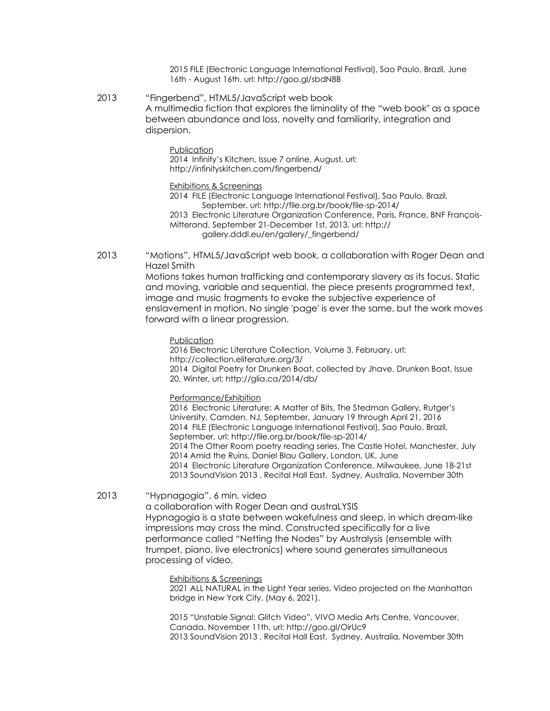2015 FILE (Electronic Language International Festival), Sao Paulo, Brazil, June 16th - August 16th. url: http://goo.gl/sbdN8B

2013 "Fingerbend", HTML5/JavaScript web book A multimedia fiction that explores the liminality of the "web book" as a space between abundance and loss, novelty and familiarity, integration and dispersion.

#### Publication

2014 Infinity's Kitchen, Issue 7 online, August, url: http://infinityskitchen.com/fingerbend/

#### Exhibitions & Screenings

2014 FILE (Electronic Language International Festival), Sao Paulo, Brazil, September. url: http://file.org.br/book/file-sp-2014/

2013 Electronic Literature Organization Conference, Paris, France, BNF François-Mitterand, September 21-December 1st, 2013, url: http:// gallery.dddl.eu/en/gallery/\_fingerbend/

2013 "Motions", HTML5/JavaScript web book, a collaboration with Roger Dean and Hazel Smith

> Motions takes human trafficking and contemporary slavery as its focus. Static and moving, variable and sequential, the piece presents programmed text, image and music fragments to evoke the subjective experience of enslavement in motion. No single 'page' is ever the same, but the work moves forward with a linear progression.

#### **Publication**

2016 Electronic Literature Collection, Volume 3, February, url: http://collection.eliterature.org/3/ 2014 Digital Poetry for Drunken Boat, collected by Jhave. Drunken Boat, Issue 20, Winter, url: http://glia.ca/2014/db/

#### Performance/Exhibition

2016 Electronic Literature: A Matter of Bits, The Stedman Gallery, Rutger's University, Camden, NJ, September, January 19 through April 21, 2016 2014 FILE (Electronic Language International Festival), Sao Paulo, Brazil, September, url: http://file.org.br/book/file-sp-2014/ 2014 The Other Room poetry reading series, The Castle Hotel, Manchester, July 2014 Amid the Ruins, Daniel Blau Gallery, London, UK, June 2014 Electronic Literature Organization Conference, Milwaukee, June 18-21st 2013 SoundVision 2013 , Recital Hall East, Sydney, Australia, November 30th

2013 "Hypnagogia", 6 min. video

a collaboration with Roger Dean and austraLYSIS Hypnagogia is a state between wakefulness and sleep, in which dream-like impressions may cross the mind. Constructed specifically for a live performance called "Netting the Nodes" by Australysis (ensemble with trumpet, piano, live electronics) where sound generates simultaneous processing of video.

Exhibitions & Screenings

2021 ALL NATURAL in the Light Year series. Video projected on the Manhattan bridge in New York City. (May 6, 2021).

2015 "Unstable Signal: Glitch Video", VIVO Media Arts Centre, Vancouver, Canada. November 11th, url: http://goo.gl/OirUc9 2013 SoundVision 2013 , Recital Hall East, Sydney, Australia, November 30th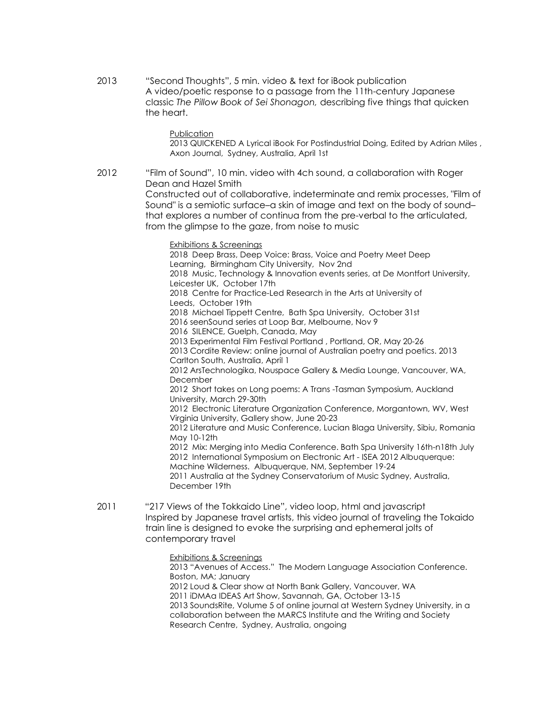2013 "Second Thoughts", 5 min. video & text for iBook publication A video/poetic response to a passage from the 11th-century Japanese classic *The Pillow Book of Sei Shonagon,* describing five things that quicken the heart.

**Publication** 

2013 QUICKENED A Lyrical iBook For Postindustrial Doing, Edited by Adrian Miles , Axon Journal, Sydney, Australia, April 1st

2012 "Film of Sound", 10 min. video with 4ch sound, a collaboration with Roger Dean and Hazel Smith Constructed out of collaborative, indeterminate and remix processes, "Film of

Sound" is a semiotic surface–a skin of image and text on the body of sound– that explores a number of continua from the pre-verbal to the articulated, from the glimpse to the gaze, from noise to music

Exhibitions & Screenings

2018 Deep Brass, Deep Voice: Brass, Voice and Poetry Meet Deep Learning, Birmingham City University, Nov 2nd 2018 Music, Technology & Innovation events series, at De Montfort University, Leicester UK, October 17th 2018 Centre for Practice-Led Research in the Arts at University of Leeds, October 19th 2018 Michael Tippett Centre, Bath Spa University, October 31st 2016 seenSound series at Loop Bar, Melbourne, Nov 9 2016 SILENCE, Guelph, Canada, May 2013 Experimental Film Festival Portland , Portland, OR, May 20-26 2013 Cordite Review: online journal of Australian poetry and poetics. 2013 Carlton South, Australia, April 1 2012 ArsTechnologika, Nouspace Gallery & Media Lounge, Vancouver, WA, December 2012 Short takes on Long poems: A Trans -Tasman Symposium, Auckland University, March 29-30th 2012 Electronic Literature Organization Conference, Morgantown, WV, West Virginia University, Gallery show, June 20-23 2012 Literature and Music Conference, Lucian Blaga University, Sibiu, Romania May 10-12th

2012 Mix: Merging into Media Conference. Bath Spa University 16th-n18th July 2012 International Symposium on Electronic Art - ISEA 2012 Albuquerque: Machine Wilderness. Albuquerque, NM, September 19-24

2011 Australia at the Sydney Conservatorium of Music Sydney, Australia, December 19th

- 2011 "217 Views of the Tokkaido Line", video loop, html and javascript Inspired by Japanese travel artists, this video journal of traveling the Tokaido train line is designed to evoke the surprising and ephemeral jolts of contemporary travel
	- Exhibitions & Screenings

2013 "Avenues of Access." The Modern Language Association Conference. Boston, MA; January 2012 Loud & Clear show at North Bank Gallery, Vancouver, WA 2011 iDMAa IDEAS Art Show, Savannah, GA, October 13-15 2013 SoundsRite, Volume 5 of online journal at Western Sydney University, in a collaboration between the MARCS Institute and the Writing and Society Research Centre, Sydney, Australia, ongoing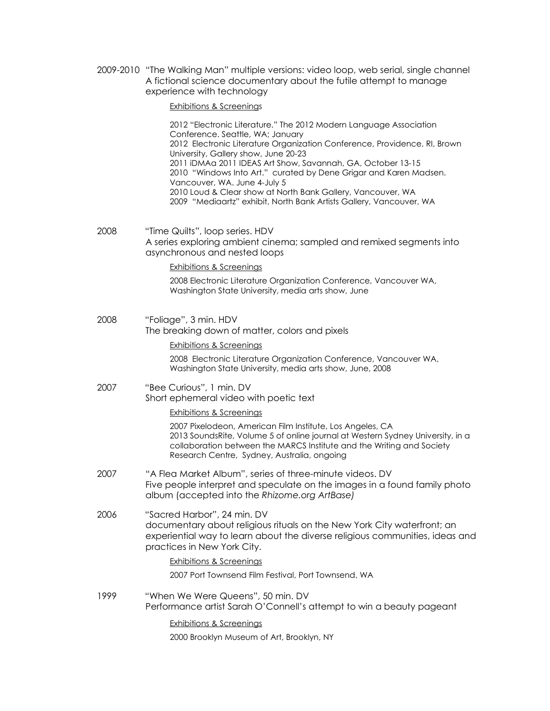2009-2010 "The Walking Man" multiple versions: video loop, web serial, single channel A fictional science documentary about the futile attempt to manage experience with technology

Exhibitions & Screenings

2012 "Electronic Literature." The 2012 Modern Language Association Conference. Seattle, WA; January 2012 Electronic Literature Organization Conference, Providence, RI, Brown University, Gallery show, June 20-23 2011 iDMAa 2011 IDEAS Art Show, Savannah, GA, October 13-15 2010 "Windows Into Art." curated by Dene Grigar and Karen Madsen. Vancouver, WA. June 4-July 5 2010 Loud & Clear show at North Bank Gallery, Vancouver, WA 2009 "Mediaartz" exhibit, North Bank Artists Gallery, Vancouver, WA

2008 "Time Quilts", loop series. HDV A series exploring ambient cinema; sampled and remixed segments into asynchronous and nested loops

#### Exhibitions & Screenings

2008 Electronic Literature Organization Conference, Vancouver WA, Washington State University, media arts show, June

2008 "Foliage", 3 min. HDV The breaking down of matter, colors and pixels

# Exhibitions & Screenings

2008 Electronic Literature Organization Conference, Vancouver WA, Washington State University, media arts show, June, 2008

#### 2007 "Bee Curious", 1 min. DV Short ephemeral video with poetic text

Exhibitions & Screenings

2007 Pixelodeon, American Film Institute, Los Angeles, CA 2013 SoundsRite, Volume 5 of online journal at Western Sydney University, in a collaboration between the MARCS Institute and the Writing and Society Research Centre, Sydney, Australia, ongoing

- 2007 "A Flea Market Album", series of three-minute videos. DV Five people interpret and speculate on the images in a found family photo album (accepted into the *Rhizome.org ArtBase)*
- 2006 "Sacred Harbor", 24 min. DV documentary about religious rituals on the New York City waterfront; an experiential way to learn about the diverse religious communities, ideas and practices in New York City.

# Exhibitions & Screenings

2007 Port Townsend Film Festival, Port Townsend, WA

1999 "When We Were Queens", 50 min. DV Performance artist Sarah O'Connell's attempt to win a beauty pageant

Exhibitions & Screenings

2000 Brooklyn Museum of Art, Brooklyn, NY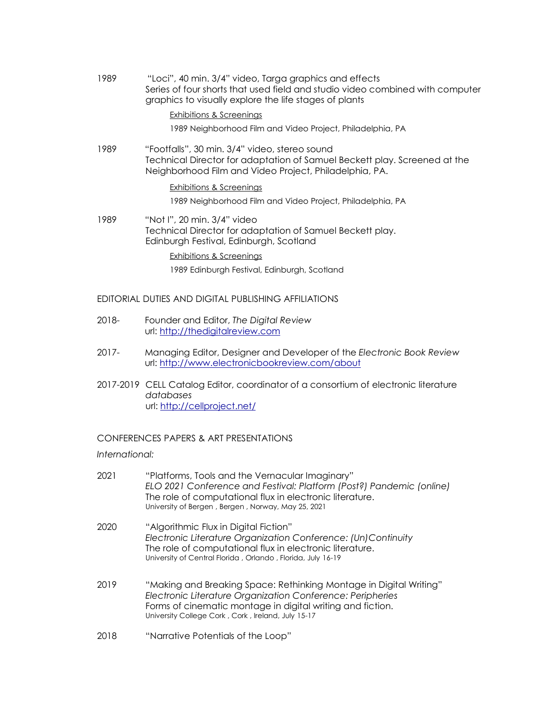1989 "Loci", 40 min. 3/4" video, Targa graphics and effects Series of four shorts that used field and studio video combined with computer graphics to visually explore the life stages of plants

## Exhibitions & Screenings

1989 Neighborhood Film and Video Project, Philadelphia, PA

1989 "Footfalls", 30 min. 3/4" video, stereo sound Technical Director for adaptation of Samuel Beckett play. Screened at the Neighborhood Film and Video Project, Philadelphia, PA.

# Exhibitions & Screenings

1989 Neighborhood Film and Video Project, Philadelphia, PA

1989 "Not I", 20 min. 3/4" video Technical Director for adaptation of Samuel Beckett play. Edinburgh Festival, Edinburgh, Scotland

# Exhibitions & Screenings

1989 Edinburgh Festival, Edinburgh, Scotland

# EDITORIAL DUTIES AND DIGITAL PUBLISHING AFFILIATIONS

- 2018- Founder and Editor, *The Digital Review* url: [http://thedigitalreview.com](http://thedigitalreview.com/)
- 2017- Managing Editor, Designer and Developer of the *Electronic Book Review* url: <http://www.electronicbookreview.com/about>
- 2017-2019 CELL Catalog Editor, coordinator of a consortium of electronic literature *databases* url: <http://cellproject.net/>

# CONFERENCES PAPERS & ART PRESENTATIONS

*International:*

| 2021 | "Platforms, Tools and the Vernacular Imaginary"<br>ELO 2021 Conference and Festival: Platform (Post?) Pandemic (online)<br>The role of computational flux in electronic literature.<br>University of Bergen, Bergen, Norway, May 25, 2021            |
|------|------------------------------------------------------------------------------------------------------------------------------------------------------------------------------------------------------------------------------------------------------|
| 2020 | "Algorithmic Flux in Digital Fiction"<br>Electronic Literature Organization Conference: (Un) Continuity<br>The role of computational flux in electronic literature.<br>University of Central Florida, Orlando, Florida, July 16-19                   |
| 2019 | "Making and Breaking Space: Rethinking Montage in Digital Writing"<br>Electronic Literature Organization Conference: Peripheries<br>Forms of cinematic montage in digital writing and fiction.<br>University College Cork, Cork, Ireland, July 15-17 |
| 2018 | "Narrative Potentials of the Loop"                                                                                                                                                                                                                   |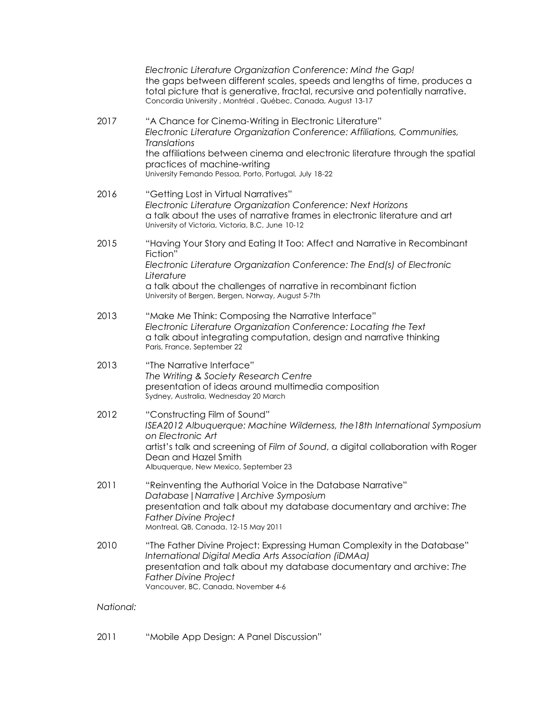|           | Electronic Literature Organization Conference: Mind the Gap!<br>the gaps between different scales, speeds and lengths of time, produces a<br>total picture that is generative, fractal, recursive and potentially narrative.<br>Concordia University, Montréal, Québec, Canada, August 13-17 |
|-----------|----------------------------------------------------------------------------------------------------------------------------------------------------------------------------------------------------------------------------------------------------------------------------------------------|
| 2017      | "A Chance for Cinema-Writing in Electronic Literature"<br>Electronic Literature Organization Conference: Affiliations, Communities,<br><b>Translations</b><br>the affiliations between cinema and electronic literature through the spatial                                                  |
|           | practices of machine-writing<br>University Fernando Pessoa, Porto, Portugal, July 18-22                                                                                                                                                                                                      |
| 2016      | "Getting Lost in Virtual Narratives"<br>Electronic Literature Organization Conference: Next Horizons<br>a talk about the uses of narrative frames in electronic literature and art<br>University of Victoria, Victoria, B.C, June 10-12                                                      |
| 2015      | "Having Your Story and Eating It Too: Affect and Narrative in Recombinant<br>Fiction"                                                                                                                                                                                                        |
|           | Electronic Literature Organization Conference: The End(s) of Electronic<br>Literature                                                                                                                                                                                                        |
|           | a talk about the challenges of narrative in recombinant fiction<br>University of Bergen, Bergen, Norway, August 5-7th                                                                                                                                                                        |
| 2013      | "Make Me Think: Composing the Narrative Interface"<br>Electronic Literature Organization Conference: Locating the Text<br>a talk about integrating computation, design and narrative thinking<br>Paris, France, September 22                                                                 |
| 2013      | "The Narrative Interface"<br>The Writing & Society Research Centre<br>presentation of ideas around multimedia composition<br>Sydney, Australia, Wednesday 20 March                                                                                                                           |
| 2012      | "Constructing Film of Sound"<br>ISEA2012 Albuquerque: Machine Wilderness, the 18th International Symposium<br>on Electronic Art                                                                                                                                                              |
|           | artist's talk and screening of Film of Sound, a digital collaboration with Roger<br>Dean and Hazel Smith<br>Albuquerque, New Mexico, September 23                                                                                                                                            |
| 2011      | "Reinventing the Authorial Voice in the Database Narrative"<br>Database   Narrative   Archive Symposium                                                                                                                                                                                      |
|           | presentation and talk about my database documentary and archive: The<br><b>Father Divine Project</b><br>Montreal, QB, Canada. 12-15 May 2011                                                                                                                                                 |
| 2010      | "The Father Divine Project: Expressing Human Complexity in the Database"<br>International Digital Media Arts Association (iDMAa)<br>presentation and talk about my database documentary and archive: The<br><b>Father Divine Project</b><br>Vancouver, BC, Canada, November 4-6              |
| National: |                                                                                                                                                                                                                                                                                              |

2011 "Mobile App Design: A Panel Discussion"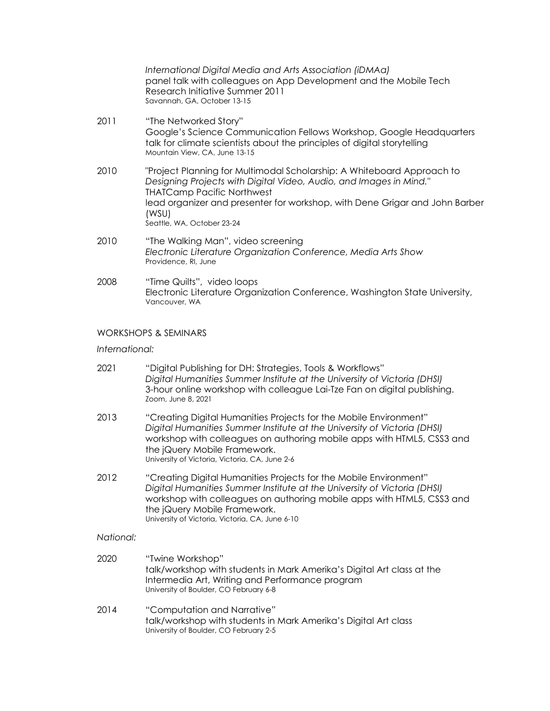*International Digital Media and Arts Association (iDMAa)* panel talk with colleagues on App Development and the Mobile Tech Research Initiative Summer 2011 Savannah, GA, October 13-15

- 2011 "The Networked Story" Google's Science Communication Fellows Workshop, Google Headquarters talk for climate scientists about the principles of digital storytelling Mountain View, CA, June 13-15
- 2010 "Project Planning for Multimodal Scholarship: A Whiteboard Approach to *Designing Projects with Digital Video, Audio, and Images in Mind."* THATCamp Pacific Northwest lead organizer and presenter for workshop, with Dene Grigar and John Barber (WSU) Seattle, WA, October 23-24
- 2010 "The Walking Man", video screening *Electronic Literature Organization Conference, Media Arts Show* Providence, RI, June
- 2008 "Time Quilts", video loops Electronic Literature Organization Conference, Washington State University, Vancouver, WA

# WORKSHOPS & SEMINARS

# *International:*

- 2021 "Digital Publishing for DH: Strategies, Tools & Workflows" *Digital Humanities Summer Institute at the University of Victoria (DHSI)* 3-hour online workshop with colleague Lai-Tze Fan on digital publishing. Zoom, June 8, 2021
- 2013 "Creating Digital Humanities Projects for the Mobile Environment" *Digital Humanities Summer Institute at the University of Victoria (DHSI)* workshop with colleagues on authoring mobile apps with HTML5, CSS3 and the jQuery Mobile Framework. University of Victoria, Victoria, CA, June 2-6
- 2012 "Creating Digital Humanities Projects for the Mobile Environment" *Digital Humanities Summer Institute at the University of Victoria (DHSI)* workshop with colleagues on authoring mobile apps with HTML5, CSS3 and the jQuery Mobile Framework. University of Victoria, Victoria, CA, June 6-10

#### *National:*

- 2020 "Twine Workshop" talk/workshop with students in Mark Amerika's Digital Art class at the Intermedia Art, Writing and Performance program University of Boulder, CO February 6-8
- 2014 "Computation and Narrative" talk/workshop with students in Mark Amerika's Digital Art class University of Boulder, CO February 2-5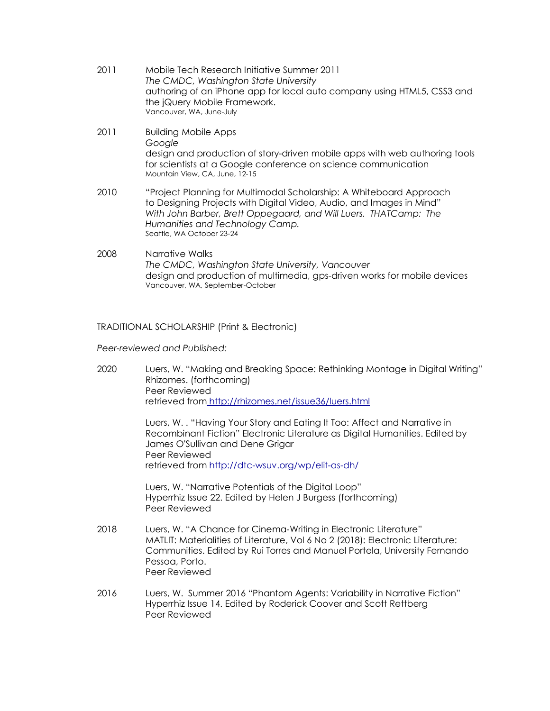- 2011 Mobile Tech Research Initiative Summer 2011 *The CMDC, Washington State University* authoring of an iPhone app for local auto company using HTML5, CSS3 and the jQuery Mobile Framework. Vancouver, WA, June-July
- 2011 Building Mobile Apps *Google* design and production of story-driven mobile apps with web authoring tools for scientists at a Google conference on science communication Mountain View, CA, June, 12-15
- 2010 "Project Planning for Multimodal Scholarship: A Whiteboard Approach to Designing Projects with Digital Video, Audio, and Images in Mind" *With John Barber, Brett Oppegaard, and Will Luers. THATCamp: The Humanities and Technology Camp.* Seattle, WA October 23-24
- 2008 Narrative Walks *The CMDC, Washington State University, Vancouver* design and production of multimedia, gps-driven works for mobile devices Vancouver, WA, September-October

TRADITIONAL SCHOLARSHIP (Print & Electronic)

*Peer-reviewed and Published:*

2020 Luers, W. "Making and Breaking Space: Rethinking Montage in Digital Writing" Rhizomes. (forthcoming) Peer Reviewed retrieved from <http://rhizomes.net/issue36/luers.html>

> Luers, W. . "Having Your Story and Eating It Too: Affect and Narrative in Recombinant Fiction" Electronic Literature as Digital Humanities. Edited by James O'Sullivan and Dene Grigar Peer Reviewed retrieved from <http://dtc-wsuv.org/wp/elit-as-dh/>

Luers, W. "Narrative Potentials of the Digital Loop" Hyperrhiz Issue 22. Edited by Helen J Burgess (forthcoming) Peer Reviewed

- 2018 Luers, W. "A Chance for Cinema-Writing in Electronic Literature" MATLIT: Materialities of Literature, Vol 6 No 2 (2018): Electronic Literature: Communities. Edited by Rui Torres and Manuel Portela, University Fernando Pessoa, Porto. Peer Reviewed
- 2016 Luers, W. Summer 2016 "Phantom Agents: Variability in Narrative Fiction" Hyperrhiz Issue 14. Edited by Roderick Coover and Scott Rettberg Peer Reviewed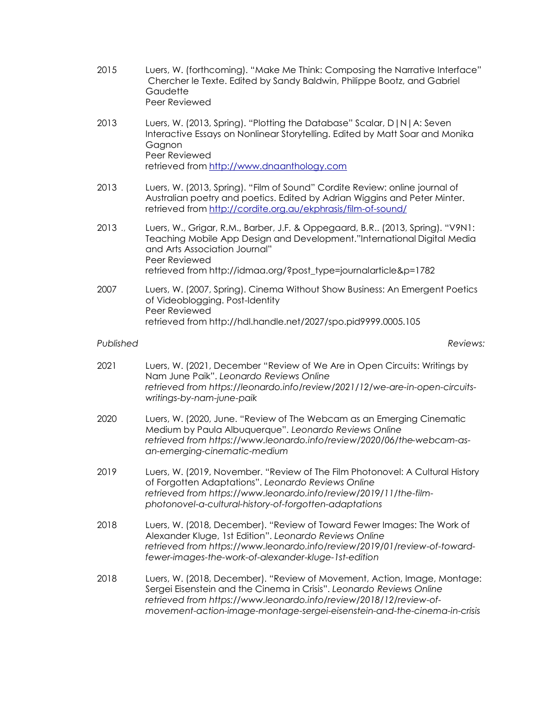- 2015 Luers, W. (forthcoming). "Make Me Think: Composing the Narrative Interface" Chercher le Texte. Edited by Sandy Baldwin, Philippe Bootz, and Gabriel **Gaudette** Peer Reviewed
- 2013 Luers, W. (2013, Spring). "Plotting the Database" Scalar, D|N|A: Seven Interactive Essays on Nonlinear Storytelling. Edited by Matt Soar and Monika Gagnon Peer Reviewed retrieved from [http://www.dnaanthology.com](http://www.dnaanthology.com/)
- 2013 Luers, W. (2013, Spring). "Film of Sound" Cordite Review: online journal of Australian poetry and poetics. Edited by Adrian Wiggins and Peter Minter. retrieved from <http://cordite.org.au/ekphrasis/film-of-sound/>
- 2013 Luers, W., Grigar, R.M., Barber, J.F. & Oppegaard, B.R.. (2013, Spring). "V9N1: Teaching Mobile App Design and Development."International Digital Media and Arts Association Journal" Peer Reviewed retrieved from [http://idmaa.org/?post\\_type=journalarticle&p=1782](http://idmaa.org/?post_type=journalarticle&p=1782)
- 2007 Luers, W. (2007, Spring). Cinema Without Show Business: An Emergent Poetics of Videoblogging. Post-Identity Peer Reviewed retrieved from [http://hdl.handle.net/2027/spo.pid9999.0005.105](http://tinyurl.com/2z8bb2)

# *Published Reviews:*

- 2021 Luers, W. (2021, December "Review of We Are in Open Circuits: Writings by Nam June Paik". *Leonardo Reviews Online retrieved from https://leonardo.info/review/2021/12/we-are-in-open-circuitswritings-by-nam-june-paik*
- 2020 Luers, W. (2020, June. "Review of The Webcam as an Emerging Cinematic Medium by Paula Albuquerque". *Leonardo Reviews Online retrieved from https://www.leonardo.info/review/2020/06/the-webcam-asan-emerging-cinematic-medium*
- 2019 Luers, W. (2019, November. "Review of The Film Photonovel: A Cultural History of Forgotten Adaptations". *Leonardo Reviews Online retrieved from https://www.leonardo.info/review/2019/11/the-filmphotonovel-a-cultural-history-of-forgotten-adaptations*
- 2018 Luers, W. (2018, December). "Review of Toward Fewer Images: The Work of Alexander Kluge, 1st Edition". *Leonardo Reviews Online retrieved from https://www.leonardo.info/review/2019/01/review-of-towardfewer-images-the-work-of-alexander-kluge-1st-edition*
- 2018 Luers, W. (2018, December). "Review of Movement, Action, Image, Montage: Sergei Eisenstein and the Cinema in Crisis". *Leonardo Reviews Online retrieved from https://www.leonardo.info/review/2018/12/review-ofmovement-action-image-montage-sergei-eisenstein-and-the-cinema-in-crisis*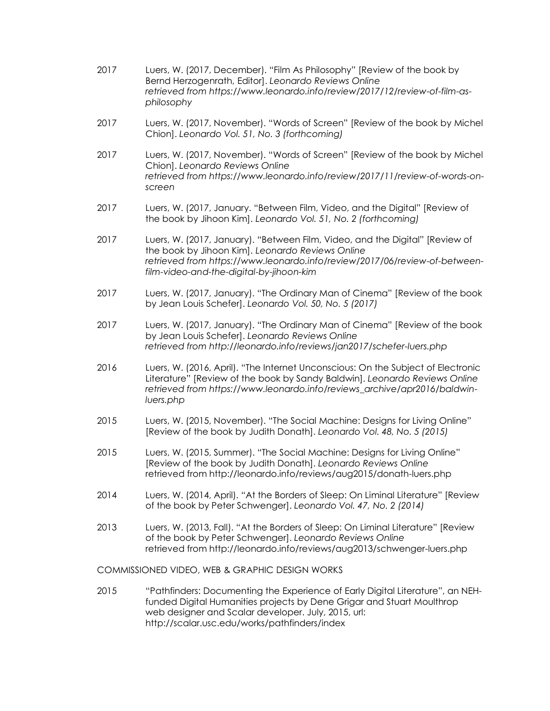- 2017 Luers, W. (2017, December). "Film As Philosophy" [Review of the book by Bernd Herzogenrath, Editor]. *Leonardo Reviews Online retrieved from https://www.leonardo.info/review/2017/12/review-of-film-asphilosophy*
- 2017 Luers, W. (2017, November). "Words of Screen" [Review of the book by Michel Chion]. *Leonardo Vol. 51, No. 3 (forthcoming)*
- 2017 Luers, W. (2017, November). "Words of Screen" [Review of the book by Michel Chion]. *Leonardo Reviews Online retrieved from https://www.leonardo.info/review/2017/11/review-of-words-onscreen*
- 2017 Luers, W. (2017, January. "Between Film, Video, and the Digital" [Review of the book by Jihoon Kim]. *Leonardo Vol. 51, No. 2 (forthcoming)*
- 2017 Luers, W. (2017, January). "Between Film, Video, and the Digital" [Review of the book by Jihoon Kim]. *Leonardo Reviews Online retrieved from https://www.leonardo.info/review/2017/06/review-of-betweenfilm-video-and-the-digital-by-jihoon-kim*
- 2017 Luers, W. (2017, January). "The Ordinary Man of Cinema" [Review of the book by Jean Louis Schefer]. *Leonardo Vol. 50, No. 5 (2017)*
- 2017 Luers, W. (2017, January). "The Ordinary Man of Cinema" [Review of the book by Jean Louis Schefer]. *Leonardo Reviews Online retrieved from http://leonardo.info/reviews/jan2017/schefer-luers.php*
- 2016 Luers, W. (2016, April). "The Internet Unconscious: On the Subject of Electronic Literature" [Review of the book by Sandy Baldwin]. *Leonardo Reviews Online retrieved from https://www.leonardo.info/reviews\_archive/apr2016/baldwinluers.php*
- 2015 Luers, W. (2015, November). "The Social Machine: Designs for Living Online" [Review of the book by Judith Donath]. *Leonardo Vol. 48, No. 5 (2015)*
- 2015 Luers, W. (2015, Summer). "The Social Machine: Designs for Living Online" [Review of the book by Judith Donath]. *Leonardo Reviews Online* retrieved from http://leonardo.info/reviews/aug2015/donath-luers.php
- 2014 Luers, W. (2014, April). "At the Borders of Sleep: On Liminal Literature" [Review of the book by Peter Schwenger]. *Leonardo Vol. 47, No. 2 (2014)*
- 2013 Luers, W. (2013, Fall). "At the Borders of Sleep: On Liminal Literature" [Review of the book by Peter Schwenger]. *Leonardo Reviews Online* retrieved from http://leonardo.info/reviews/aug2013/schwenger-luers.php

COMMISSIONED VIDEO, WEB & GRAPHIC DESIGN WORKS

2015 "Pathfinders: Documenting the Experience of Early Digital Literature", an NEHfunded Digital Humanities projects by Dene Grigar and Stuart Moulthrop web designer and Scalar developer. July, 2015, url: http://scalar.usc.edu/works/pathfinders/index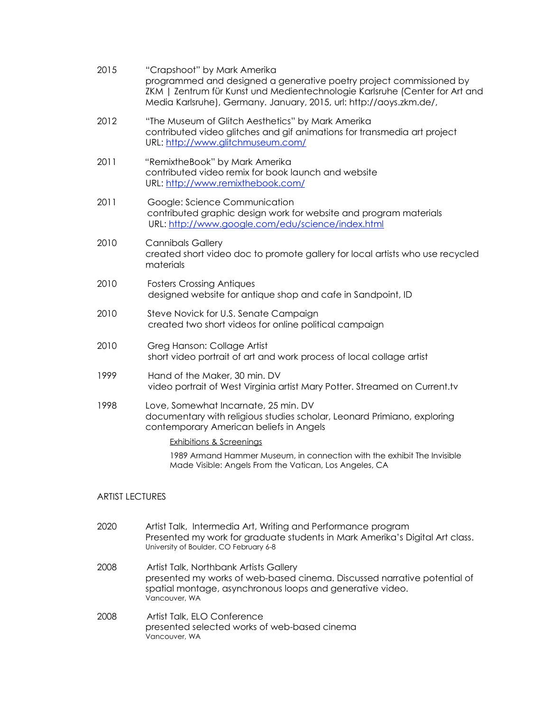| 2015                   | "Crapshoot" by Mark Amerika<br>programmed and designed a generative poetry project commissioned by<br>ZKM   Zentrum für Kunst und Medientechnologie Karlsruhe (Center for Art and<br>Media Karlsruhe), Germany. January, 2015, url: http://aoys.zkm.de/, |
|------------------------|----------------------------------------------------------------------------------------------------------------------------------------------------------------------------------------------------------------------------------------------------------|
| 2012                   | "The Museum of Glitch Aesthetics" by Mark Amerika<br>contributed video glitches and gif animations for transmedia art project<br>URL: http://www.glitchmuseum.com/                                                                                       |
| 2011                   | "RemixtheBook" by Mark Amerika<br>contributed video remix for book launch and website<br>URL: http://www.remixthebook.com/                                                                                                                               |
| 2011                   | Google: Science Communication<br>contributed graphic design work for website and program materials<br>URL: http://www.google.com/edu/science/index.html                                                                                                  |
| 2010                   | <b>Cannibals Gallery</b><br>created short video doc to promote gallery for local artists who use recycled<br>materials                                                                                                                                   |
| 2010                   | <b>Fosters Crossing Antiques</b><br>designed website for antique shop and cafe in Sandpoint, ID                                                                                                                                                          |
| 2010                   | Steve Novick for U.S. Senate Campaign<br>created two short videos for online political campaign                                                                                                                                                          |
| 2010                   | Greg Hanson: Collage Artist<br>short video portrait of art and work process of local collage artist                                                                                                                                                      |
| 1999                   | Hand of the Maker, 30 min. DV<br>video portrait of West Virginia artist Mary Potter. Streamed on Current.tv                                                                                                                                              |
| 1998                   | Love, Somewhat Incarnate, 25 min. DV<br>documentary with religious studies scholar, Leonard Primiano, exploring<br>contemporary American beliefs in Angels                                                                                               |
|                        | <b>Exhibitions &amp; Screenings</b>                                                                                                                                                                                                                      |
|                        | 1989 Armand Hammer Museum, in connection with the exhibit The Invisible<br>Made Visible: Angels From the Vatican, Los Angeles, CA                                                                                                                        |
|                        |                                                                                                                                                                                                                                                          |
| <b>ARTIST LECTURES</b> |                                                                                                                                                                                                                                                          |

- 2020 Artist Talk, Intermedia Art, Writing and Performance program Presented my work for graduate students in Mark Amerika's Digital Art class. University of Boulder, CO February 6-8
- 2008 Artist Talk, Northbank Artists Gallery presented my works of web-based cinema. Discussed narrative potential of spatial montage, asynchronous loops and generative video. Vancouver, WA
- 2008 Artist Talk, ELO Conference presented selected works of web-based cinema Vancouver, WA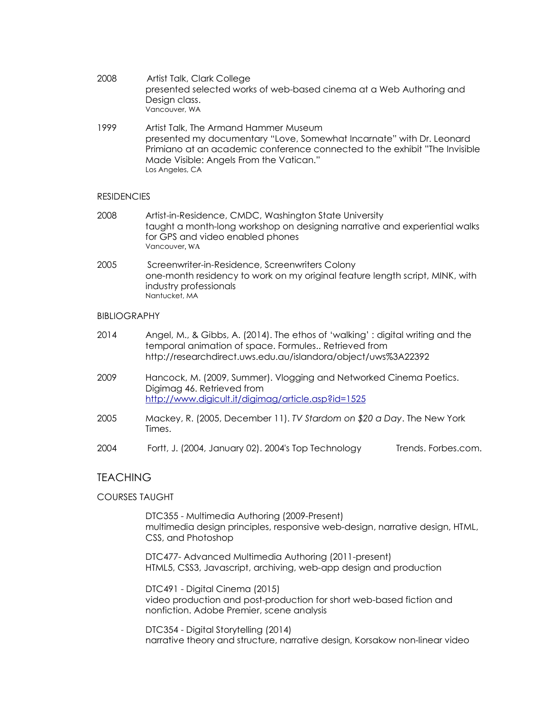| 2008 | Artist Talk, Clark College                                          |
|------|---------------------------------------------------------------------|
|      | presented selected works of web-based cinema at a Web Authoring and |
|      | Design class.                                                       |
|      | Vancouver, WA                                                       |

1999 Artist Talk, The Armand Hammer Museum presented my documentary "Love, Somewhat Incarnate" with Dr. Leonard Primiano at an academic conference connected to the exhibit "The Invisible Made Visible: Angels From the Vatican." Los Angeles, CA

# **RESIDENCIES**

- 2008 Artist-in-Residence, CMDC, Washington State University taught a month-long workshop on designing narrative and experiential walks for GPS and video enabled phones Vancouver, WA
- 2005 Screenwriter-in-Residence, Screenwriters Colony one-month residency to work on my original feature length script, MINK, with industry professionals Nantucket, MA

# BIBLIOGRAPHY

| 2014 | Angel, M., & Gibbs, A. (2014). The ethos of 'walking': digital writing and the |
|------|--------------------------------------------------------------------------------|
|      | temporal animation of space. Formules Retrieved from                           |
|      | http://researchdirect.uws.edu.au/islandora/object/uws%3A22392                  |

- 2009 Hancock, M. (2009, Summer). Vlogging and Networked Cinema Poetics. Digimag 46. Retrieved from <http://www.digicult.it/digimag/article.asp?id=1525>
- 2005 Mackey, R. (2005, December 11). *TV Stardom on \$20 a Day*. The New York Times.
- 2004 Fortt, J. (2004, January 02). 2004's Top Technology Trends. Forbes.com.

# **TEACHING**

# COURSES TAUGHT

DTC355 - Multimedia Authoring (2009-Present) multimedia design principles, responsive web-design, narrative design, HTML, CSS, and Photoshop

DTC477- Advanced Multimedia Authoring (2011-present) HTML5, CSS3, Javascript, archiving, web-app design and production

DTC491 - Digital Cinema (2015) video production and post-production for short web-based fiction and nonfiction. Adobe Premier, scene analysis

DTC354 - Digital Storytelling (2014) narrative theory and structure, narrative design, Korsakow non-linear video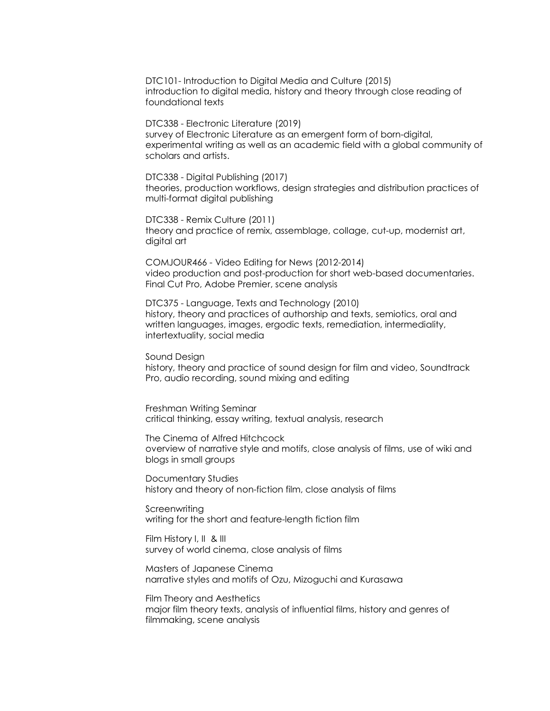DTC101- Introduction to Digital Media and Culture (2015) introduction to digital media, history and theory through close reading of foundational texts

DTC338 - Electronic Literature (2019) survey of Electronic Literature as an emergent form of born-digital, experimental writing as well as an academic field with a global community of scholars and artists.

DTC338 - Digital Publishing (2017) theories, production workflows, design strategies and distribution practices of multi-format digital publishing

DTC338 - Remix Culture (2011) theory and practice of remix, assemblage, collage, cut-up, modernist art, digital art

COMJOUR466 - Video Editing for News (2012-2014) video production and post-production for short web-based documentaries. Final Cut Pro, Adobe Premier, scene analysis

DTC375 - Language, Texts and Technology (2010) history, theory and practices of authorship and texts, semiotics, oral and written languages, images, ergodic texts, remediation, intermediality, intertextuality, social media

Sound Design history, theory and practice of sound design for film and video, Soundtrack Pro, audio recording, sound mixing and editing

Freshman Writing Seminar critical thinking, essay writing, textual analysis, research

The Cinema of Alfred Hitchcock overview of narrative style and motifs, close analysis of films, use of wiki and blogs in small groups

Documentary Studies history and theory of non-fiction film, close analysis of films

Screenwriting writing for the short and feature-length fiction film

Film History I, II & III survey of world cinema, close analysis of films

Masters of Japanese Cinema narrative styles and motifs of Ozu, Mizoguchi and Kurasawa

Film Theory and Aesthetics major film theory texts, analysis of influential films, history and genres of filmmaking, scene analysis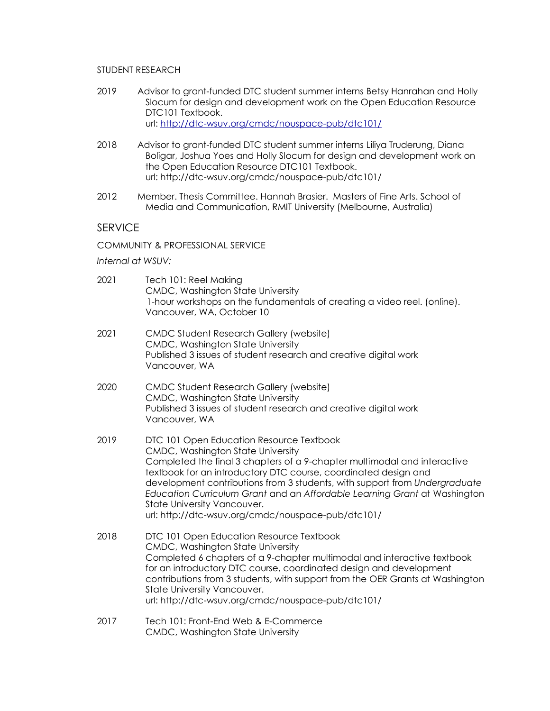# STUDENT RESEARCH

- 2019 Advisor to grant-funded DTC student summer interns Betsy Hanrahan and Holly Slocum for design and development work on the Open Education Resource DTC101 Textbook. url: <http://dtc-wsuv.org/cmdc/nouspace-pub/dtc101/>
- 2018 Advisor to grant-funded DTC student summer interns Liliya Truderung, Diana Boligar, Joshua Yoes and Holly Slocum for design and development work on the Open Education Resource DTC101 Textbook. url: http://dtc-wsuv.org/cmdc/nouspace-pub/dtc101/
- 2012 Member. Thesis Committee. Hannah Brasier. Masters of Fine Arts. School of Media and Communication, RMIT University (Melbourne, Australia)

# **SERVICE**

COMMUNITY & PROFESSIONAL SERVICE

*Internal at WSUV:*

| 2021 | Tech 101: Reel Making<br>CMDC, Washington State University<br>1-hour workshops on the fundamentals of creating a video reel. (online).<br>Vancouver, WA, October 10                                                                                                                                                                                                                                                                                                          |
|------|------------------------------------------------------------------------------------------------------------------------------------------------------------------------------------------------------------------------------------------------------------------------------------------------------------------------------------------------------------------------------------------------------------------------------------------------------------------------------|
| 2021 | <b>CMDC Student Research Gallery (website)</b><br>CMDC, Washington State University<br>Published 3 issues of student research and creative digital work<br>Vancouver, WA                                                                                                                                                                                                                                                                                                     |
| 2020 | <b>CMDC Student Research Gallery (website)</b><br>CMDC, Washington State University<br>Published 3 issues of student research and creative digital work<br>Vancouver, WA                                                                                                                                                                                                                                                                                                     |
| 2019 | DTC 101 Open Education Resource Textbook<br>CMDC, Washington State University<br>Completed the final 3 chapters of a 9-chapter multimodal and interactive<br>textbook for an introductory DTC course, coordinated design and<br>development contributions from 3 students, with support from Undergraduate<br>Education Curriculum Grant and an Affordable Learning Grant at Washington<br>State University Vancouver.<br>url: http://dtc-wsuv.org/cmdc/nouspace-pub/dtc101/ |
| 2018 | DTC 101 Open Education Resource Textbook<br>CMDC, Washington State University<br>Completed 6 chapters of a 9-chapter multimodal and interactive textbook<br>for an introductory DTC course, coordinated design and development<br>contributions from 3 students, with support from the OER Grants at Washington<br>State University Vancouver.<br>url: http://dtc-wsuv.org/cmdc/nouspace-pub/dtc101/                                                                         |
| 2017 | Tech 101: Front-End Web & E-Commerce<br>CMDC, Washington State University                                                                                                                                                                                                                                                                                                                                                                                                    |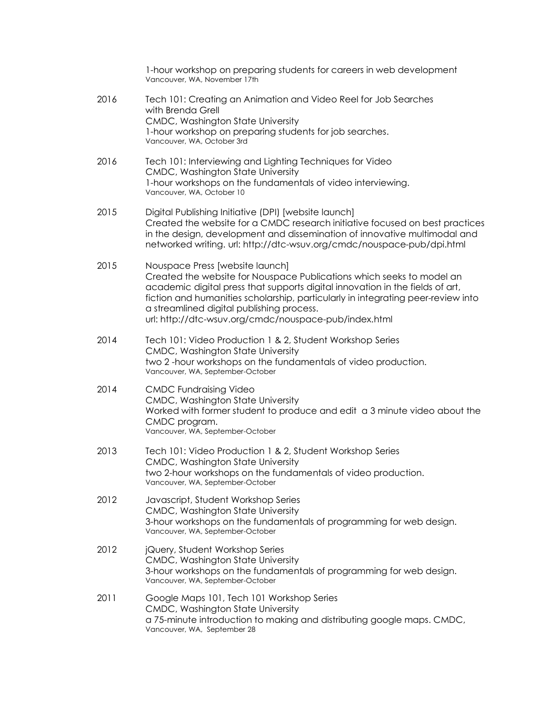|      | 1-hour workshop on preparing students for careers in web development<br>Vancouver, WA, November 17th                                                                                                                                                                                                                                                                                |
|------|-------------------------------------------------------------------------------------------------------------------------------------------------------------------------------------------------------------------------------------------------------------------------------------------------------------------------------------------------------------------------------------|
| 2016 | Tech 101: Creating an Animation and Video Reel for Job Searches<br>with Brenda Grell<br>CMDC, Washington State University<br>1-hour workshop on preparing students for job searches.<br>Vancouver, WA, October 3rd                                                                                                                                                                  |
| 2016 | Tech 101: Interviewing and Lighting Techniques for Video<br>CMDC, Washington State University<br>1-hour workshops on the fundamentals of video interviewing.<br>Vancouver, WA, October 10                                                                                                                                                                                           |
| 2015 | Digital Publishing Initiative (DPI) [website launch]<br>Created the website for a CMDC research initiative focused on best practices<br>in the design, development and dissemination of innovative multimodal and<br>networked writing. url: http://dtc-wsuv.org/cmdc/nouspace-pub/dpi.html                                                                                         |
| 2015 | Nouspace Press [website launch]<br>Created the website for Nouspace Publications which seeks to model an<br>academic digital press that supports digital innovation in the fields of art,<br>fiction and humanities scholarship, particularly in integrating peer-review into<br>a streamlined digital publishing process.<br>url: http://dtc-wsuv.org/cmdc/nouspace-pub/index.html |
| 2014 | Tech 101: Video Production 1 & 2, Student Workshop Series<br>CMDC, Washington State University<br>two 2-hour workshops on the fundamentals of video production.<br>Vancouver, WA, September-October                                                                                                                                                                                 |
| 2014 | <b>CMDC Fundraising Video</b><br>CMDC, Washington State University<br>Worked with former student to produce and edit a 3 minute video about the<br>CMDC program.<br>Vancouver, WA, September-October                                                                                                                                                                                |
| 2013 | Tech 101: Video Production 1 & 2, Student Workshop Series<br>CMDC, Washington State University<br>two 2-hour workshops on the fundamentals of video production.<br>Vancouver, WA, September-October                                                                                                                                                                                 |
| 2012 | Javascript, Student Workshop Series<br>CMDC, Washington State University<br>3-hour workshops on the fundamentals of programming for web design.<br>Vancouver, WA, September-October                                                                                                                                                                                                 |
| 2012 | jQuery, Student Workshop Series<br>CMDC, Washington State University<br>3-hour workshops on the fundamentals of programming for web design.<br>Vancouver, WA, September-October                                                                                                                                                                                                     |
| 2011 | Google Maps 101, Tech 101 Workshop Series<br>CMDC, Washington State University<br>a 75-minute introduction to making and distributing google maps. CMDC,<br>Vancouver, WA, September 28                                                                                                                                                                                             |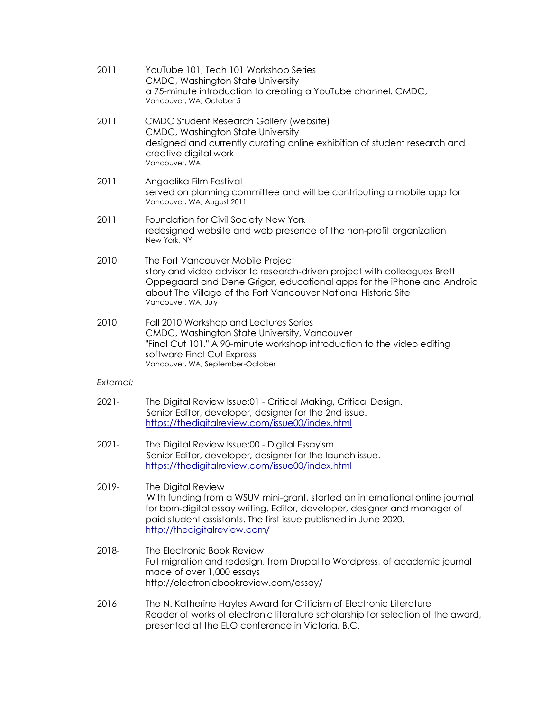| 2011      | YouTube 101, Tech 101 Workshop Series<br>CMDC, Washington State University<br>a 75-minute introduction to creating a YouTube channel. CMDC,<br>Vancouver, WA, October 5                                                                                                              |
|-----------|--------------------------------------------------------------------------------------------------------------------------------------------------------------------------------------------------------------------------------------------------------------------------------------|
| 2011      | <b>CMDC Student Research Gallery (website)</b><br>CMDC, Washington State University<br>designed and currently curating online exhibition of student research and<br>creative digital work<br>Vancouver, WA                                                                           |
| 2011      | Angaelika Film Festival<br>served on planning committee and will be contributing a mobile app for<br>Vancouver, WA, August 2011                                                                                                                                                      |
| 2011      | Foundation for Civil Society New York<br>redesigned website and web presence of the non-profit organization<br>New York, NY                                                                                                                                                          |
| 2010      | The Fort Vancouver Mobile Project<br>story and video advisor to research-driven project with colleagues Brett<br>Oppegaard and Dene Grigar, educational apps for the iPhone and Android<br>about The Village of the Fort Vancouver National Historic Site<br>Vancouver, WA, July     |
| 2010      | Fall 2010 Workshop and Lectures Series<br>CMDC, Washington State University, Vancouver<br>"Final Cut 101." A 90-minute workshop introduction to the video editing<br>software Final Cut Express<br>Vancouver, WA, September-October                                                  |
| External: |                                                                                                                                                                                                                                                                                      |
| $2021 -$  | The Digital Review Issue:01 - Critical Making, Critical Design.<br>Senior Editor, developer, designer for the 2nd issue.<br>https://thedigitalreview.com/issue00/index.html                                                                                                          |
| $2021 -$  | The Digital Review Issue:00 - Digital Essayism.<br>Senior Editor, developer, designer for the launch issue.<br>https://thedigitalreview.com/issue00/index.html                                                                                                                       |
| 2019-     | The Digital Review<br>With funding from a WSUV mini-grant, started an international online journal<br>for born-digital essay writing. Editor, developer, designer and manager of<br>paid student assistants. The first issue published in June 2020.<br>http://thedigitalreview.com/ |
| 2018-     | The Electronic Book Review<br>Full migration and redesign, from Drupal to Wordpress, of academic journal<br>made of over 1,000 essays<br>http://electronicbookreview.com/essay/                                                                                                      |
| 2016      | The N. Katherine Hayles Award for Criticism of Electronic Literature<br>Reader of works of electronic literature scholarship for selection of the award,<br>presented at the ELO conference in Victoria, B.C.                                                                        |